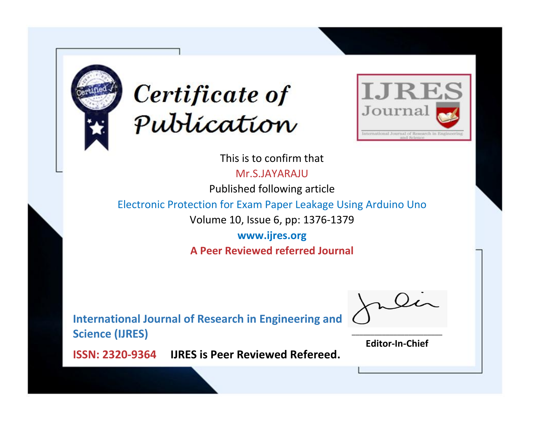



This is to confirm that

Mr.S.JAYARAJU

Published following article

Electronic Protection for Exam Paper Leakage Using Arduino Uno

Volume 10, Issue 6, pp: 1376-1379

**www.ijres.org A Peer Reviewed referred Journal**

**International Journal of Research in Engineering and Science (IJRES)**

\_\_\_\_\_\_\_\_\_\_\_\_\_\_\_\_\_\_\_\_\_\_\_\_ **Editor-In-Chief**

**Journal.**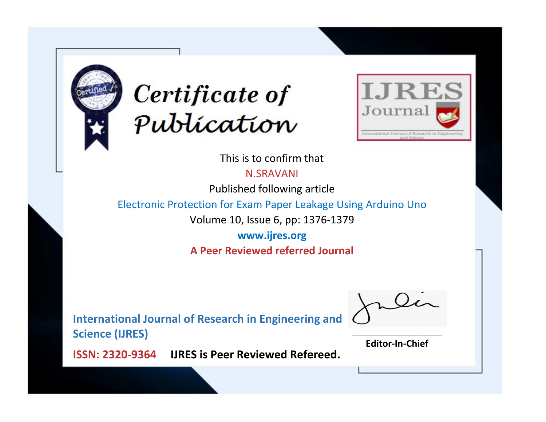



This is to confirm that

N.SRAVANI

Published following article

Electronic Protection for Exam Paper Leakage Using Arduino Uno

Volume 10, Issue 6, pp: 1376-1379

**www.ijres.org A Peer Reviewed referred Journal**

**International Journal of Research in Engineering and Science (IJRES)**

\_\_\_\_\_\_\_\_\_\_\_\_\_\_\_\_\_\_\_\_\_\_\_\_ **Editor-In-Chief**

**Journal.**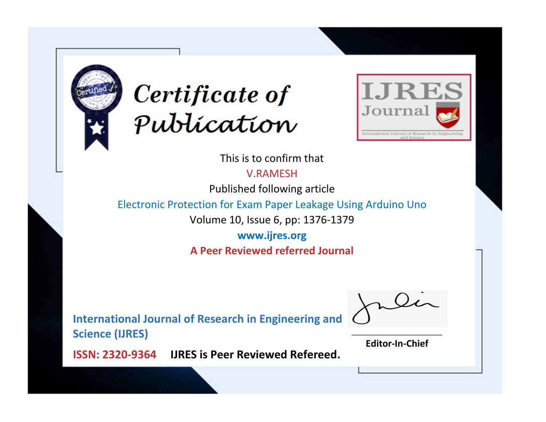



This is to confirm that

V.RAMESH

Published following article

Electronic Protection for Exam Paper Leakage Using Arduino Uno

Volume 10, Issue 6, pp: 1376-1379

**www.ijres.org A Peer Reviewed referred Journal**

**International Journal of Research in Engineering and Science (IJRES)**

\_\_\_\_\_\_\_\_\_\_\_\_\_\_\_\_\_\_\_\_\_\_\_\_ **Editor-In-Chief**

**Journal.**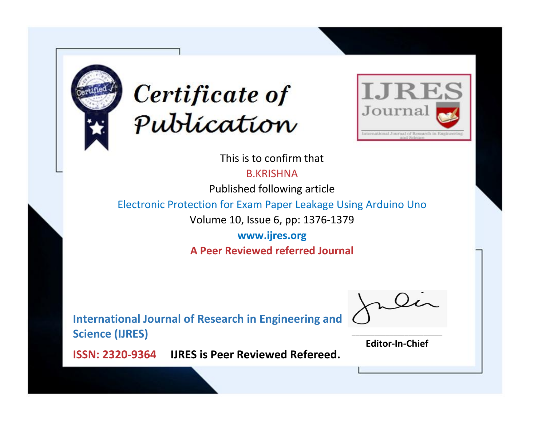



This is to confirm that

B.KRISHNA

Published following article

Electronic Protection for Exam Paper Leakage Using Arduino Uno

Volume 10, Issue 6, pp: 1376-1379

**www.ijres.org A Peer Reviewed referred Journal**

**International Journal of Research in Engineering and Science (IJRES)**

\_\_\_\_\_\_\_\_\_\_\_\_\_\_\_\_\_\_\_\_\_\_\_\_ **Editor-In-Chief**

**Journal.**